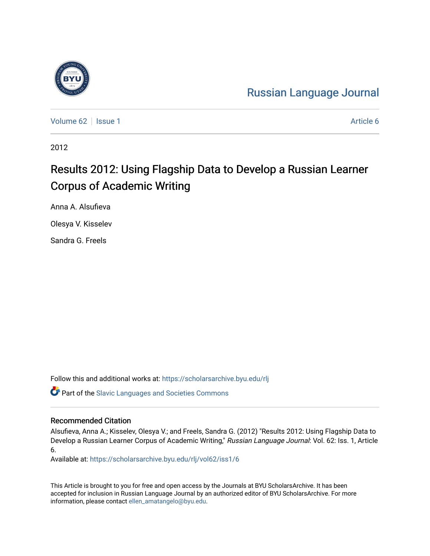

[Russian Language Journal](https://scholarsarchive.byu.edu/rlj) 

[Volume 62](https://scholarsarchive.byu.edu/rlj/vol62) | [Issue 1](https://scholarsarchive.byu.edu/rlj/vol62/iss1) Article 6

2012

# Results 2012: Using Flagship Data to Develop a Russian Learner Corpus of Academic Writing

Anna A. Alsufieva

Olesya V. Kisselev

Sandra G. Freels

Follow this and additional works at: [https://scholarsarchive.byu.edu/rlj](https://scholarsarchive.byu.edu/rlj?utm_source=scholarsarchive.byu.edu%2Frlj%2Fvol62%2Fiss1%2F6&utm_medium=PDF&utm_campaign=PDFCoverPages)

**C** Part of the Slavic Languages and Societies Commons

#### Recommended Citation

Alsufieva, Anna A.; Kisselev, Olesya V.; and Freels, Sandra G. (2012) "Results 2012: Using Flagship Data to Develop a Russian Learner Corpus of Academic Writing," Russian Language Journal: Vol. 62: Iss. 1, Article 6.

Available at: [https://scholarsarchive.byu.edu/rlj/vol62/iss1/6](https://scholarsarchive.byu.edu/rlj/vol62/iss1/6?utm_source=scholarsarchive.byu.edu%2Frlj%2Fvol62%2Fiss1%2F6&utm_medium=PDF&utm_campaign=PDFCoverPages) 

This Article is brought to you for free and open access by the Journals at BYU ScholarsArchive. It has been accepted for inclusion in Russian Language Journal by an authorized editor of BYU ScholarsArchive. For more information, please contact [ellen\\_amatangelo@byu.edu.](mailto:ellen_amatangelo@byu.edu)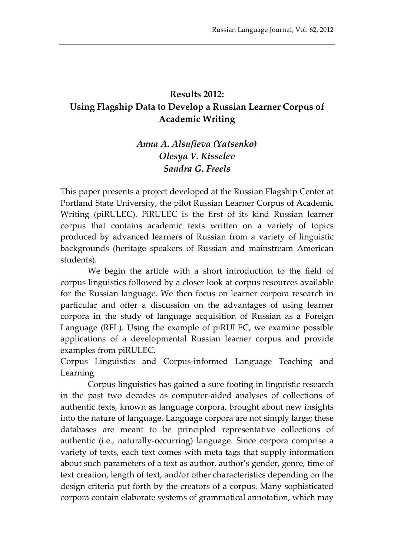# **Results 2012: Using Flagship Data to Develop a Russian Learner Corpus of Academic Writing**

# *Anna A. Alsufieva (Yatsenko) Olesya V. Kisselev Sandra G. Freels*

This paper presents a project developed at the Russian Flagship Center at Portland State University, the pilot Russian Learner Corpus of Academic Writing (piRULEC). PiRULEC is the first of its kind Russian learner corpus that contains academic texts written on a variety of topics produced by advanced learners of Russian from a variety of linguistic backgrounds (heritage speakers of Russian and mainstream American students).

We begin the article with a short introduction to the field of corpus linguistics followed by a closer look at corpus resources available for the Russian language. We then focus on learner corpora research in particular and offer a discussion on the advantages of using learner corpora in the study of language acquisition of Russian as a Foreign Language (RFL). Using the example of piRULEC, we examine possible applications of a developmental Russian learner corpus and provide examples from piRULEC.

Corpus Linguistics and Corpus-informed Language Teaching and Learning

Corpus linguistics has gained a sure footing in linguistic research in the past two decades as computer-aided analyses of collections of authentic texts, known as language corpora, brought about new insights into the nature of language. Language corpora are not simply large; these databases are meant to be principled representative collections of authentic (i.e., naturally-occurring) language. Since corpora comprise a variety of texts, each text comes with meta tags that supply information about such parameters of a text as author, author's gender, genre, time of text creation, length of text, and/or other characteristics depending on the design criteria put forth by the creators of a corpus. Many sophisticated corpora contain elaborate systems of grammatical annotation, which may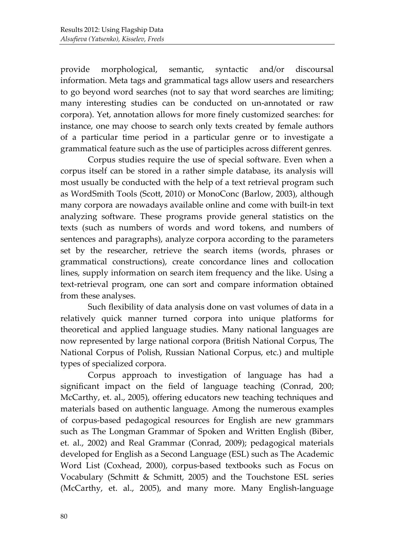provide morphological, semantic, syntactic and/or discoursal information. Meta tags and grammatical tags allow users and researchers to go beyond word searches (not to say that word searches are limiting; many interesting studies can be conducted on un-annotated or raw corpora). Yet, annotation allows for more finely customized searches: for instance, one may choose to search only texts created by female authors of a particular time period in a particular genre or to investigate a grammatical feature such as the use of participles across different genres.

Corpus studies require the use of special software. Even when a corpus itself can be stored in a rather simple database, its analysis will most usually be conducted with the help of a text retrieval program such as WordSmith Tools (Scott, 2010) or MonoConc (Barlow, 2003), although many corpora are nowadays available online and come with built-in text analyzing software. These programs provide general statistics on the texts (such as numbers of words and word tokens, and numbers of sentences and paragraphs), analyze corpora according to the parameters set by the researcher, retrieve the search items (words, phrases or grammatical constructions), create concordance lines and collocation lines, supply information on search item frequency and the like. Using a text-retrieval program, one can sort and compare information obtained from these analyses.

Such flexibility of data analysis done on vast volumes of data in a relatively quick manner turned corpora into unique platforms for theoretical and applied language studies. Many national languages are now represented by large national corpora (British National Corpus, The National Corpus of Polish, Russian National Corpus, etc.) and multiple types of specialized corpora.

Corpus approach to investigation of language has had a significant impact on the field of language teaching (Conrad, 200; McCarthy, et. al., 2005), offering educators new teaching techniques and materials based on authentic language. Among the numerous examples of corpus-based pedagogical resources for English are new grammars such as The Longman Grammar of Spoken and Written English (Biber, et. al., 2002) and Real Grammar (Conrad, 2009); pedagogical materials developed for English as a Second Language (ESL) such as The Academic Word List (Coxhead, 2000), corpus-based textbooks such as Focus on Vocabulary (Schmitt & Schmitt, 2005) and the Touchstone ESL series (McCarthy, et. al., 2005), and many more. Many English-language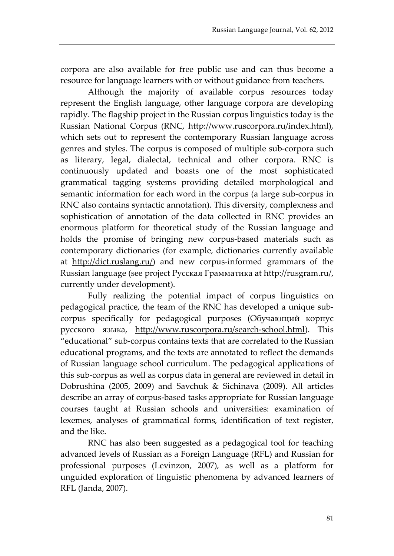corpora are also available for free public use and can thus become a resource for language learners with or without guidance from teachers.

Although the majority of available corpus resources today represent the English language, other language corpora are developing rapidly. The flagship project in the Russian corpus linguistics today is the Russian National Corpus (RNC, [http://www.ruscorpora.ru/index.html\)](http://www.ruscorpora.ru/index.html), which sets out to represent the contemporary Russian language across genres and styles. The corpus is composed of multiple sub-corpora such as literary, legal, dialectal, technical and other corpora. RNC is continuously updated and boasts one of the most sophisticated grammatical tagging systems providing detailed morphological and semantic information for each word in the corpus (a large sub-corpus in RNC also contains syntactic annotation). This diversity, complexness and sophistication of annotation of the data collected in RNC provides an enormous platform for theoretical study of the Russian language and holds the promise of bringing new corpus-based materials such as contemporary dictionaries (for example, dictionaries currently available at [http://dict.ruslang.ru/\)](http://dict.ruslang.ru/) and new corpus-informed grammars of the Russian language (see project Русская Грамматика at [http://rusgram.ru/,](http://rusgram.ru/)  currently under development).

Fully realizing the potential impact of corpus linguistics on pedagogical practice, the team of the RNC has developed a unique subcorpus specifically for pedagogical purposes (Обучающий корпус русского языка, [http://www.ruscorpora.ru/search-school.html\)](http://www.ruscorpora.ru/search-school.html). This "educational" sub-corpus contains texts that are correlated to the Russian educational programs, and the texts are annotated to reflect the demands of Russian language school curriculum. The pedagogical applications of this sub-corpus as well as corpus data in general are reviewed in detail in Dobrushina (2005, 2009) and Savchuk & Sichinava (2009). All articles describe an array of corpus-based tasks appropriate for Russian language courses taught at Russian schools and universities: examination of lexemes, analyses of grammatical forms, identification of text register, and the like.

RNC has also been suggested as a pedagogical tool for teaching advanced levels of Russian as a Foreign Language (RFL) and Russian for professional purposes (Levinzon, 2007), as well as a platform for unguided exploration of linguistic phenomena by advanced learners of RFL (Janda, 2007).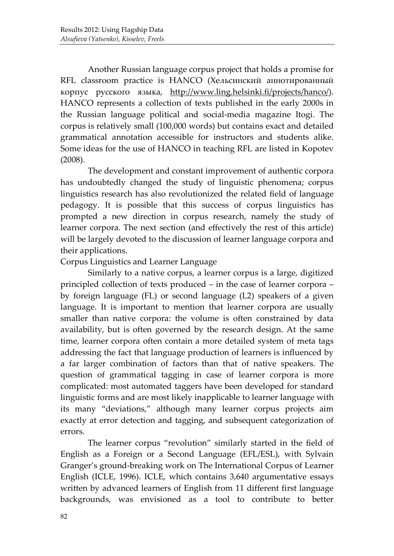Another Russian language corpus project that holds a promise for RFL classroom practice is HANCO (Хельсинский аннотированный корпус русского языка, [http://www.ling.helsinki.fi/projects/hanco/\)](http://www.ling.helsinki.fi/projects/hanco/). HANCO represents a collection of texts published in the early 2000s in the Russian language political and social-media magazine Itogi. The corpus is relatively small (100,000 words) but contains exact and detailed grammatical annotation accessible for instructors and students alike. Some ideas for the use of HANCO in teaching RFL are listed in Kopotev (2008).

The development and constant improvement of authentic corpora has undoubtedly changed the study of linguistic phenomena; corpus linguistics research has also revolutionized the related field of language pedagogy. It is possible that this success of corpus linguistics has prompted a new direction in corpus research, namely the study of learner corpora. The next section (and effectively the rest of this article) will be largely devoted to the discussion of learner language corpora and their applications.

### Corpus Linguistics and Learner Language

Similarly to a native corpus, a learner corpus is a large, digitized principled collection of texts produced – in the case of learner corpora – by foreign language (FL) or second language (L2) speakers of a given language. It is important to mention that learner corpora are usually smaller than native corpora: the volume is often constrained by data availability, but is often governed by the research design. At the same time, learner corpora often contain a more detailed system of meta tags addressing the fact that language production of learners is influenced by a far larger combination of factors than that of native speakers. The question of grammatical tagging in case of learner corpora is more complicated: most automated taggers have been developed for standard linguistic forms and are most likely inapplicable to learner language with its many "deviations," although many learner corpus projects aim exactly at error detection and tagging, and subsequent categorization of errors.

The learner corpus "revolution" similarly started in the field of English as a Foreign or a Second Language (EFL/ESL), with Sylvain Granger's ground-breaking work on The International Corpus of Learner English (ICLE, 1996). ICLE, which contains 3,640 argumentative essays written by advanced learners of English from 11 different first language backgrounds, was envisioned as a tool to contribute to better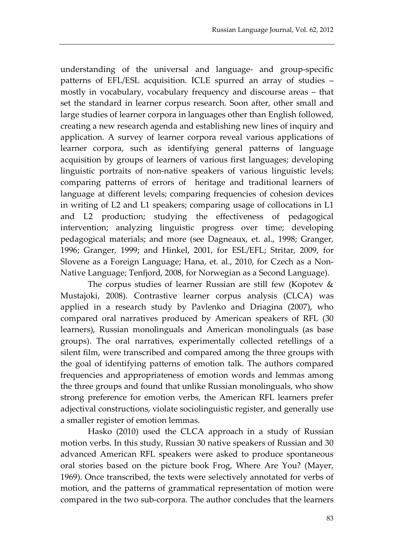understanding of the universal and language- and group-specific patterns of EFL/ESL acquisition. ICLE spurred an array of studies – mostly in vocabulary, vocabulary frequency and discourse areas – that set the standard in learner corpus research. Soon after, other small and large studies of learner corpora in languages other than English followed, creating a new research agenda and establishing new lines of inquiry and application. A survey of learner corpora reveal various applications of learner corpora, such as identifying general patterns of language acquisition by groups of learners of various first languages; developing linguistic portraits of non-native speakers of various linguistic levels; comparing patterns of errors of heritage and traditional learners of language at different levels; comparing frequencies of cohesion devices in writing of L2 and L1 speakers; comparing usage of collocations in L1 and L2 production; studying the effectiveness of pedagogical intervention; analyzing linguistic progress over time; developing pedagogical materials; and more (see Dagneaux, et. al., 1998; Granger, 1996; Granger, 1999; and Hinkel, 2001, for ESL/EFL; Stritar, 2009, for Slovene as a Foreign Language; Hana, et. al., 2010, for Czech as a Non-Native Language; Tenfjord, 2008, for Norwegian as a Second Language).

The corpus studies of learner Russian are still few (Kopotev & Mustajoki, 2008). Contrastive learner corpus analysis (CLCA) was applied in a research study by Pavlenko and Driagina (2007), who compared oral narratives produced by American speakers of RFL (30 learners), Russian monolinguals and American monolinguals (as base groups). The oral narratives, experimentally collected retellings of a silent film, were transcribed and compared among the three groups with the goal of identifying patterns of emotion talk. The authors compared frequencies and appropriateness of emotion words and lemmas among the three groups and found that unlike Russian monolinguals, who show strong preference for emotion verbs, the American RFL learners prefer adjectival constructions, violate sociolinguistic register, and generally use a smaller register of emotion lemmas.

Hasko (2010) used the CLCA approach in a study of Russian motion verbs. In this study, Russian 30 native speakers of Russian and 30 advanced American RFL speakers were asked to produce spontaneous oral stories based on the picture book Frog, Where Are You? (Mayer, 1969). Once transcribed, the texts were selectively annotated for verbs of motion, and the patterns of grammatical representation of motion were compared in the two sub-corpora. The author concludes that the learners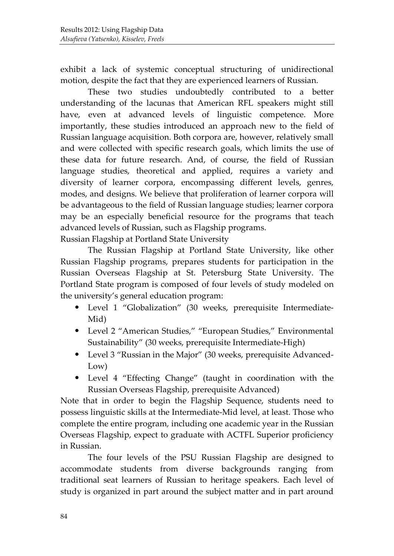exhibit a lack of systemic conceptual structuring of unidirectional motion, despite the fact that they are experienced learners of Russian.

These two studies undoubtedly contributed to a better understanding of the lacunas that American RFL speakers might still have, even at advanced levels of linguistic competence. More importantly, these studies introduced an approach new to the field of Russian language acquisition. Both corpora are, however, relatively small and were collected with specific research goals, which limits the use of these data for future research. And, of course, the field of Russian language studies, theoretical and applied, requires a variety and diversity of learner corpora, encompassing different levels, genres, modes, and designs. We believe that proliferation of learner corpora will be advantageous to the field of Russian language studies; learner corpora may be an especially beneficial resource for the programs that teach advanced levels of Russian, such as Flagship programs.

Russian Flagship at Portland State University

The Russian Flagship at Portland State University, like other Russian Flagship programs, prepares students for participation in the Russian Overseas Flagship at St. Petersburg State University. The Portland State program is composed of four levels of study modeled on the university's general education program:

- Level 1 "Globalization" (30 weeks, prerequisite Intermediate-Mid)
- Level 2 "American Studies," "European Studies," Environmental Sustainability" (30 weeks, prerequisite Intermediate-High)
- Level 3 "Russian in the Major" (30 weeks, prerequisite Advanced-Low)
- Level 4 "Effecting Change" (taught in coordination with the Russian Overseas Flagship, prerequisite Advanced)

Note that in order to begin the Flagship Sequence, students need to possess linguistic skills at the Intermediate-Mid level, at least. Those who complete the entire program, including one academic year in the Russian Overseas Flagship, expect to graduate with ACTFL Superior proficiency in Russian.

The four levels of the PSU Russian Flagship are designed to accommodate students from diverse backgrounds ranging from traditional seat learners of Russian to heritage speakers. Each level of study is organized in part around the subject matter and in part around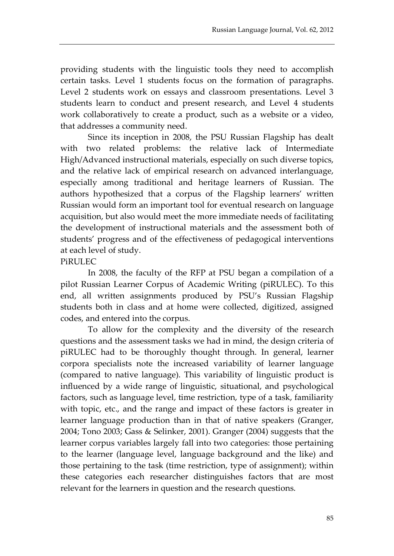providing students with the linguistic tools they need to accomplish certain tasks. Level 1 students focus on the formation of paragraphs. Level 2 students work on essays and classroom presentations. Level 3 students learn to conduct and present research, and Level 4 students work collaboratively to create a product, such as a website or a video, that addresses a community need.

Since its inception in 2008, the PSU Russian Flagship has dealt with two related problems: the relative lack of Intermediate High/Advanced instructional materials, especially on such diverse topics, and the relative lack of empirical research on advanced interlanguage, especially among traditional and heritage learners of Russian. The authors hypothesized that a corpus of the Flagship learners' written Russian would form an important tool for eventual research on language acquisition, but also would meet the more immediate needs of facilitating the development of instructional materials and the assessment both of students' progress and of the effectiveness of pedagogical interventions at each level of study.

### PiRULEC

In 2008, the faculty of the RFP at PSU began a compilation of a pilot Russian Learner Corpus of Academic Writing (piRULEC). To this end, all written assignments produced by PSU's Russian Flagship students both in class and at home were collected, digitized, assigned codes, and entered into the corpus.

To allow for the complexity and the diversity of the research questions and the assessment tasks we had in mind, the design criteria of piRULEC had to be thoroughly thought through. In general, learner corpora specialists note the increased variability of learner language (compared to native language). This variability of linguistic product is influenced by a wide range of linguistic, situational, and psychological factors, such as language level, time restriction, type of a task, familiarity with topic, etc., and the range and impact of these factors is greater in learner language production than in that of native speakers (Granger, 2004; Tono 2003; Gass & Selinker, 2001). Granger (2004) suggests that the learner corpus variables largely fall into two categories: those pertaining to the learner (language level, language background and the like) and those pertaining to the task (time restriction, type of assignment); within these categories each researcher distinguishes factors that are most relevant for the learners in question and the research questions.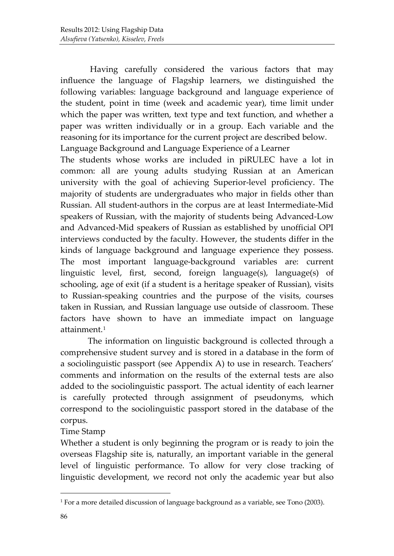Having carefully considered the various factors that may influence the language of Flagship learners, we distinguished the following variables: language background and language experience of the student, point in time (week and academic year), time limit under which the paper was written, text type and text function, and whether a paper was written individually or in a group. Each variable and the reasoning for its importance for the current project are described below. Language Background and Language Experience of a Learner

The students whose works are included in piRULEC have a lot in common: all are young adults studying Russian at an American university with the goal of achieving Superior-level proficiency. The majority of students are undergraduates who major in fields other than Russian. All student-authors in the corpus are at least Intermediate-Mid speakers of Russian, with the majority of students being Advanced-Low and Advanced-Mid speakers of Russian as established by unofficial OPI interviews conducted by the faculty. However, the students differ in the kinds of language background and language experience they possess. The most important language-background variables are: current linguistic level, first, second, foreign language(s), language(s) of schooling, age of exit (if a student is a heritage speaker of Russian), visits to Russian-speaking countries and the purpose of the visits, courses taken in Russian, and Russian language use outside of classroom. These factors have shown to have an immediate impact on language attainment.[1](#page-8-0)

The information on linguistic background is collected through a comprehensive student survey and is stored in a database in the form of a sociolinguistic passport (see Appendix A) to use in research. Teachers' comments and information on the results of the external tests are also added to the sociolinguistic passport. The actual identity of each learner is carefully protected through assignment of pseudonyms, which correspond to the sociolinguistic passport stored in the database of the corpus.

Time Stamp

Whether a student is only beginning the program or is ready to join the overseas Flagship site is, naturally, an important variable in the general level of linguistic performance. To allow for very close tracking of linguistic development, we record not only the academic year but also

-

<span id="page-8-0"></span><sup>&</sup>lt;sup>1</sup> For a more detailed discussion of language background as a variable, see Tono (2003).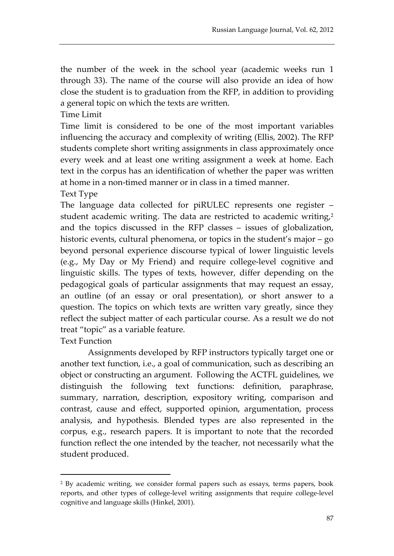the number of the week in the school year (academic weeks run 1 through 33). The name of the course will also provide an idea of how close the student is to graduation from the RFP, in addition to providing a general topic on which the texts are written.

Time Limit

Time limit is considered to be one of the most important variables influencing the accuracy and complexity of writing (Ellis, 2002). The RFP students complete short writing assignments in class approximately once every week and at least one writing assignment a week at home. Each text in the corpus has an identification of whether the paper was written at home in a non-timed manner or in class in a timed manner.

Text Type

The language data collected for piRULEC represents one register – student academic writing. The data are restricted to academic writing, $2$ and the topics discussed in the RFP classes – issues of globalization, historic events, cultural phenomena, or topics in the student's major – go beyond personal experience discourse typical of lower linguistic levels (e.g., My Day or My Friend) and require college-level cognitive and linguistic skills. The types of texts, however, differ depending on the pedagogical goals of particular assignments that may request an essay, an outline (of an essay or oral presentation), or short answer to a question. The topics on which texts are written vary greatly, since they reflect the subject matter of each particular course. As a result we do not treat "topic" as a variable feature.

Text Function

-

Assignments developed by RFP instructors typically target one or another text function, i.e., a goal of communication, such as describing an object or constructing an argument. Following the ACTFL guidelines, we distinguish the following text functions: definition, paraphrase, summary, narration, description, expository writing, comparison and contrast, cause and effect, supported opinion, argumentation, process analysis, and hypothesis. Blended types are also represented in the corpus, e.g., research papers. It is important to note that the recorded function reflect the one intended by the teacher, not necessarily what the student produced.

<span id="page-9-0"></span><sup>&</sup>lt;sup>2</sup> By academic writing, we consider formal papers such as essays, terms papers, book reports, and other types of college-level writing assignments that require college-level cognitive and language skills (Hinkel, 2001).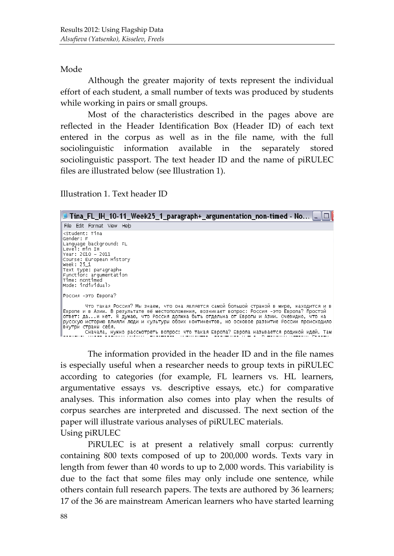Mode

Although the greater majority of texts represent the individual effort of each student, a small number of texts was produced by students while working in pairs or small groups.

Most of the characteristics described in the pages above are reflected in the Header Identification Box (Header ID) of each text entered in the corpus as well as in the file name, with the full sociolinguistic information available in the separately stored sociolinguistic passport. The text header ID and the name of piRULEC files are illustrated below (see Illustration 1).

Illustration 1. Text header ID

| ■ Tina_FL_IH_10-11_Week25_1_paragraph+_argumentation_non-timed - No _  □                                                                                                                                                                                                                                                                                                                                                                                                                                             |
|----------------------------------------------------------------------------------------------------------------------------------------------------------------------------------------------------------------------------------------------------------------------------------------------------------------------------------------------------------------------------------------------------------------------------------------------------------------------------------------------------------------------|
| File Edit Format View Help                                                                                                                                                                                                                                                                                                                                                                                                                                                                                           |
| kstudent: Tina<br>Gender: F<br>Language background: FL<br>lLevēl: min IH<br> Year: 2010 – 2011<br>Course: European History<br> week: 25 1<br>Text type: paragraph+<br>Function: argumentation<br>Time: nontimed<br>lmode: individual>                                                                                                                                                                                                                                                                                |
| Россия –это Европа?                                                                                                                                                                                                                                                                                                                                                                                                                                                                                                  |
| Что такая Россия? Мы знаем, что она является самой большой страной в мире, находится и в<br>Европе и в Азии. В результате её местоположения, возникает вопрос: Россия –это Европа? Простой<br>ответ: даи нет. Я думаю, что Россия должна быть отдельна от Европы и Азии. Очевидно, что на<br>русскую историю влияли люди и культуры обоих континентов, но основое развитие России происходило" <br>  внутри страны себя.<br>Сначала, нужно рассмотреть вопрос: что такая Европа? Европа называется родиной идей. Там |

The information provided in the header ID and in the file names is especially useful when a researcher needs to group texts in piRULEC according to categories (for example, FL learners vs. HL learners, argumentative essays vs. descriptive essays, etc.) for comparative analyses. This information also comes into play when the results of corpus searches are interpreted and discussed. The next section of the paper will illustrate various analyses of piRULEC materials. Using piRULEC

PiRULEC is at present a relatively small corpus: currently containing 800 texts composed of up to 200,000 words. Texts vary in length from fewer than 40 words to up to 2,000 words. This variability is due to the fact that some files may only include one sentence, while others contain full research papers. The texts are authored by 36 learners; 17 of the 36 are mainstream American learners who have started learning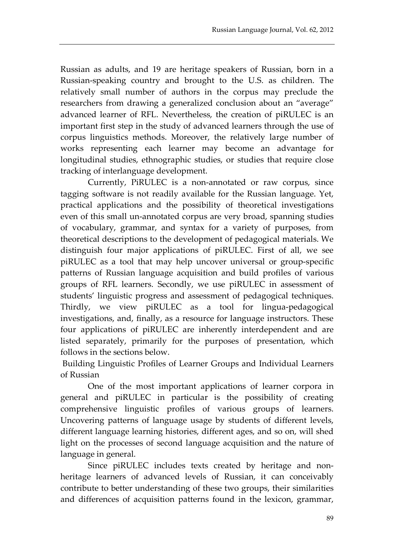Russian as adults, and 19 are heritage speakers of Russian, born in a Russian-speaking country and brought to the U.S. as children. The relatively small number of authors in the corpus may preclude the researchers from drawing a generalized conclusion about an "average" advanced learner of RFL. Nevertheless, the creation of piRULEC is an important first step in the study of advanced learners through the use of corpus linguistics methods. Moreover, the relatively large number of works representing each learner may become an advantage for longitudinal studies, ethnographic studies, or studies that require close tracking of interlanguage development.

Currently, PiRULEC is a non-annotated or raw corpus, since tagging software is not readily available for the Russian language. Yet, practical applications and the possibility of theoretical investigations even of this small un-annotated corpus are very broad, spanning studies of vocabulary, grammar, and syntax for a variety of purposes, from theoretical descriptions to the development of pedagogical materials. We distinguish four major applications of piRULEC. First of all, we see piRULEC as a tool that may help uncover universal or group-specific patterns of Russian language acquisition and build profiles of various groups of RFL learners. Secondly, we use piRULEC in assessment of students' linguistic progress and assessment of pedagogical techniques. Thirdly, we view piRULEC as a tool for lingua-pedagogical investigations, and, finally, as a resource for language instructors. These four applications of piRULEC are inherently interdependent and are listed separately, primarily for the purposes of presentation, which follows in the sections below.

Building Linguistic Profiles of Learner Groups and Individual Learners of Russian

One of the most important applications of learner corpora in general and piRULEC in particular is the possibility of creating comprehensive linguistic profiles of various groups of learners. Uncovering patterns of language usage by students of different levels, different language learning histories, different ages, and so on, will shed light on the processes of second language acquisition and the nature of language in general.

Since piRULEC includes texts created by heritage and nonheritage learners of advanced levels of Russian, it can conceivably contribute to better understanding of these two groups, their similarities and differences of acquisition patterns found in the lexicon, grammar,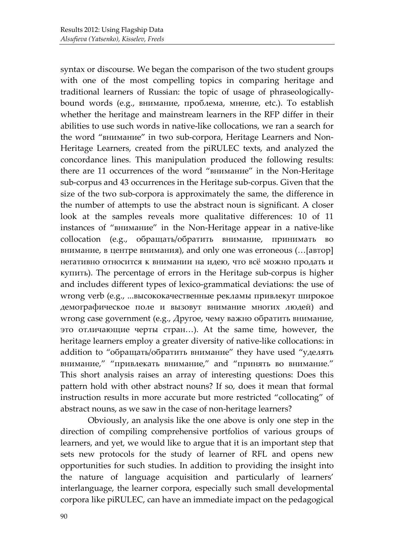syntax or discourse. We began the comparison of the two student groups with one of the most compelling topics in comparing heritage and traditional learners of Russian: the topic of usage of phraseologicallybound words (e.g., внимание, проблема, мнение, etc.). To establish whether the heritage and mainstream learners in the RFP differ in their abilities to use such words in native-like collocations, we ran a search for the word "внимание" in two sub-corpora, Heritage Learners and Non-Heritage Learners, created from the piRULEC texts, and analyzed the concordance lines. This manipulation produced the following results: there are 11 occurrences of the word "внимание" in the Non-Heritage sub-corpus and 43 occurrences in the Heritage sub-corpus. Given that the size of the two sub-corpora is approximately the same, the difference in the number of attempts to use the abstract noun is significant. A closer look at the samples reveals more qualitative differences: 10 of 11 instances of "внимание" in the Non-Heritage appear in a native-like collocation (e.g., обращать/обратить внимание, принимать во внимание, в центре внимания), and only one was erroneous (…[автор] негативно относится к внимании на идею, что всё можно продать и купить). The percentage of errors in the Heritage sub-corpus is higher and includes different types of lexico-grammatical deviations: the use of wrong verb (e.g., ...высококачественные рекламы привлекут широкое демографическое поле и вызовут внимание многих людей) and wrong case government (e.g., Другое, чему важно обратить внимание, это отличающие черты стран…). At the same time, however, the heritage learners employ a greater diversity of native-like collocations: in addition to "обращать/обратить внимание" they have used "уделять внимание," "привлекать внимание," and "принять во внимание." This short analysis raises an array of interesting questions: Does this pattern hold with other abstract nouns? If so, does it mean that formal instruction results in more accurate but more restricted "collocating" of abstract nouns, as we saw in the case of non-heritage learners?

Obviously, an analysis like the one above is only one step in the direction of compiling comprehensive portfolios of various groups of learners, and yet, we would like to argue that it is an important step that sets new protocols for the study of learner of RFL and opens new opportunities for such studies. In addition to providing the insight into the nature of language acquisition and particularly of learners' interlanguage, the learner corpora, especially such small developmental corpora like piRULEC, can have an immediate impact on the pedagogical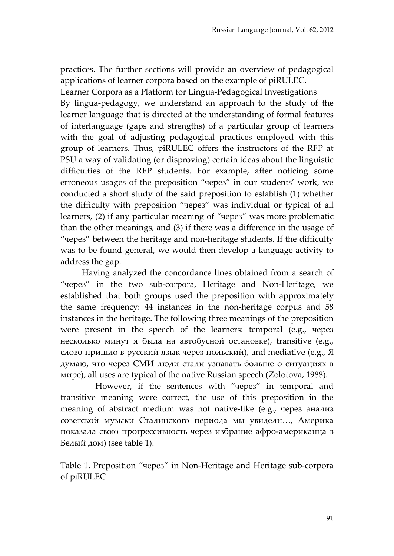practices. The further sections will provide an overview of pedagogical applications of learner corpora based on the example of piRULEC.

Learner Corpora as a Platform for Lingua-Pedagogical Investigations By lingua-pedagogy, we understand an approach to the study of the learner language that is directed at the understanding of formal features of interlanguage (gaps and strengths) of a particular group of learners with the goal of adjusting pedagogical practices employed with this group of learners. Thus, piRULEC offers the instructors of the RFP at PSU a way of validating (or disproving) certain ideas about the linguistic difficulties of the RFP students. For example, after noticing some erroneous usages of the preposition "через" in our students' work, we conducted a short study of the said preposition to establish (1) whether the difficulty with preposition "через" was individual or typical of all learners, (2) if any particular meaning of "через" was more problematic than the other meanings, and (3) if there was a difference in the usage of "через" between the heritage and non-heritage students. If the difficulty was to be found general, we would then develop a language activity to address the gap.

Having analyzed the concordance lines obtained from a search of "через" in the two sub-corpora, Heritage and Non-Heritage, we established that both groups used the preposition with approximately the same frequency: 44 instances in the non-heritage corpus and 58 instances in the heritage. The following three meanings of the preposition were present in the speech of the learners: temporal (e.g., через несколько минут я была на автобусной остановке), transitive (e.g., слово пришло в русский язык через польский), and mediative (e.g., Я думаю, что через СМИ люди стали узнавать больше о ситуациях в мире); all uses are typical of the native Russian speech (Zolotova, 1988).

However, if the sentences with "через" in temporal and transitive meaning were correct, the use of this preposition in the meaning of abstract medium was not native-like (e.g., через анализ советской музыки Сталинского периода мы увидели…, Америка показала свою прогрессивность через избрание афро-американца в Белый дом) (see table 1).

Table 1. Preposition "через" in Non-Heritage and Heritage sub-corpora of piRULEC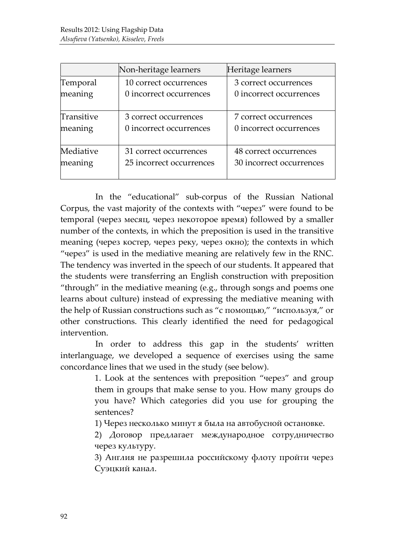|            | Non-heritage learners    | Heritage learners        |
|------------|--------------------------|--------------------------|
| Temporal   | 10 correct occurrences   | 3 correct occurrences    |
| meaning    | 0 incorrect occurrences  | 0 incorrect occurrences  |
| Transitive | 3 correct occurrences    | 7 correct occurrences    |
| meaning    | 0 incorrect occurrences  | 0 incorrect occurrences  |
| Mediative  | 31 correct occurrences   | 48 correct occurrences   |
| meaning    | 25 incorrect occurrences | 30 incorrect occurrences |

In the "educational" sub-corpus of the Russian National Corpus, the vast majority of the contexts with "через" were found to be temporal (через месяц, через некоторое время) followed by a smaller number of the contexts, in which the preposition is used in the transitive meaning (через костер, через реку, через окно); the contexts in which "через" is used in the mediative meaning are relatively few in the RNC. The tendency was inverted in the speech of our students. It appeared that the students were transferring an English construction with preposition "through" in the mediative meaning (e.g., through songs and poems one learns about culture) instead of expressing the mediative meaning with the help of Russian constructions such as "с помощью," "используя," or other constructions. This clearly identified the need for pedagogical intervention.

In order to address this gap in the students' written interlanguage, we developed a sequence of exercises using the same concordance lines that we used in the study (see below).

> 1. Look at the sentences with preposition "через" and group them in groups that make sense to you. How many groups do you have? Which categories did you use for grouping the sentences?

1) Через несколько минут я была на автобусной остановке.

2) Договор предлагает международное сотрудничество через культуру.

3) Англия не разрешила российскому флоту пройти через Суэцкий канал.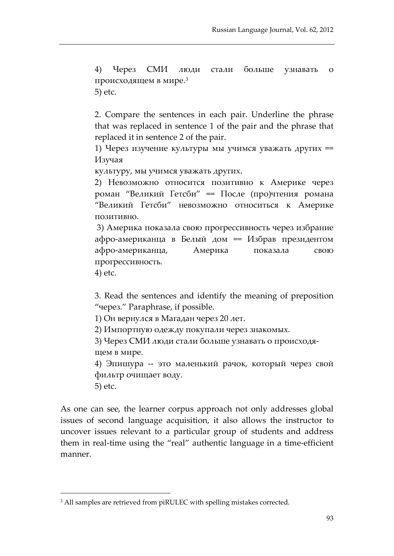4) Через СМИ люди стали больше узнавать о происходящем в мире.[3](#page-15-0) 5) etc.

2. Compare the sentences in each pair. Underline the phrase that was replaced in sentence 1 of the pair and the phrase that replaced it in sentence 2 of the pair.

1) Через изучение культуры мы учимся уважать других == Изучая

культуру, мы учимся уважать других.

2) Невозможно относится позитивно к Америке через роман "Великий Гетсби" == После (про)чтения романа "Великий Гетсби" невозможно относиться к Америке позитивно.

3) Америка показала свою прогрессивность через избрание афро-американца в Белый дом == Избрав президентом афро-американца, Америка показала свою прогрессивность.

4) etc.

3. Read the sentences and identify the meaning of preposition "через." Paraphrase, if possible.

1) Он вернулся в Магадан через 20 лет.

2) Импортную одежду покупали через знакомых.

3) Через СМИ люди стали больше узнавать о происходящем в мире.

4) Эпишура -- это маленький рачок, который через свой фильтр очищает воду.

5) etc.

-

As one can see, the learner corpus approach not only addresses global issues of second language acquisition, it also allows the instructor to uncover issues relevant to a particular group of students and address them in real-time using the "real" authentic language in a time-efficient manner.

<span id="page-15-0"></span><sup>&</sup>lt;sup>3</sup> All samples are retrieved from piRULEC with spelling mistakes corrected.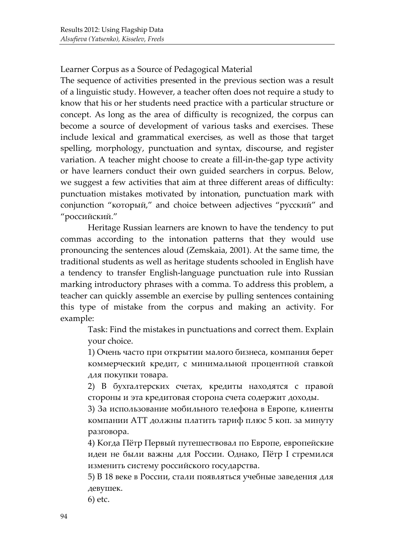Learner Corpus as a Source of Pedagogical Material

The sequence of activities presented in the previous section was a result of a linguistic study. However, a teacher often does not require a study to know that his or her students need practice with a particular structure or concept. As long as the area of difficulty is recognized, the corpus can become a source of development of various tasks and exercises. These include lexical and grammatical exercises, as well as those that target spelling, morphology, punctuation and syntax, discourse, and register variation. A teacher might choose to create a fill-in-the-gap type activity or have learners conduct their own guided searchers in corpus. Below, we suggest a few activities that aim at three different areas of difficulty: punctuation mistakes motivated by intonation, punctuation mark with conjunction "который," and choice between adjectives "русский" and "российский."

Heritage Russian learners are known to have the tendency to put commas according to the intonation patterns that they would use pronouncing the sentences aloud (Zemskaia, 2001). At the same time, the traditional students as well as heritage students schooled in English have a tendency to transfer English-language punctuation rule into Russian marking introductory phrases with a comma. To address this problem, a teacher can quickly assemble an exercise by pulling sentences containing this type of mistake from the corpus and making an activity. For example:

Task: Find the mistakes in punctuations and correct them. Explain your choice.

1) Очень часто при открытии малого бизнеса, компания берет коммерческий кредит, с минимальной процентной ставкой для покупки товара.

2) В бухгалтерских счетах, кредиты находятся с правой стороны и эта кредитовая сторона счета содержит доходы.

3) За использование мобильного телефона в Европе, клиенты компании АТТ должны платить тариф плюс 5 коп. за минуту разговора.

4) Когда Пётр Первый путешествовал по Европе, европейские идеи не были важны для России. Однако, Пётр I стремился изменить систему российского государства.

5) В 18 веке в России, стали появляться учебные заведения для девушек.

6) etc.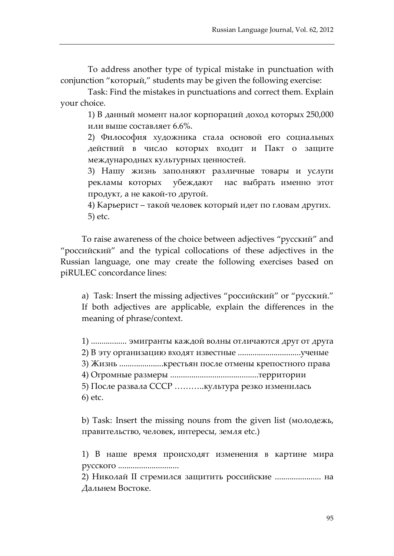To address another type of typical mistake in punctuation with conjunction "который," students may be given the following exercise:

Task: Find the mistakes in punctuations and correct them. Explain your choice.

1) В данный момент налог корпораций доход которых 250,000 или выше составляет 6.6%.

2) Философия художника стала основой его социальных действий в число которых входит и Пакт о защите международных культурных ценностей.

3) Нашу жизнь заполняют различные товары и услуги рекламы которых убеждают нас выбрать именно этот продукт, a не какой-то другой.

4) Карьерист – такой человек который идет по гловам других. 5) etc.

To raise awareness of the choice between adjectives "русский" and "российский" and the typical collocations of these adjectives in the Russian language, one may create the following exercises based on piRULEC concordance lines:

a) Task: Insert the missing adjectives "российский" or "русский." If both adjectives are applicable, explain the differences in the meaning of phrase/context.

1) ................. эмигранты каждой волны отличаются друг от друга 2) В эту организацию входят известные ..............................ученые 3) Жизнь .....................крестьян после отмены крепостного права 4) Огромные размеры ..........................................территории 5) После развала СССР ………..культура резко изменилась 6) etc.

b) Task: Insert the missing nouns from the given list (молодежь, правительство, человек, интересы, земля etc.)

1) В наше время происходят изменения в картине мира русского .............................

2) Николай II стремился защитить российские ...................... на Дальнем Востоке.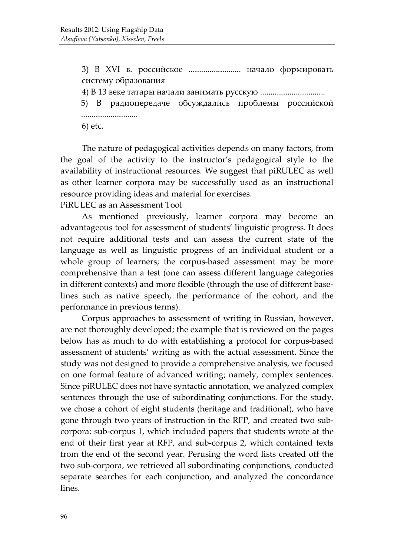3) В XVI в. российское ......................... начало формировать систему образования

4) В 13 веке татары начали занимать русскую ...............................

5) В радиопередаче обсуждались проблемы российской ...........................

6) etc.

The nature of pedagogical activities depends on many factors, from the goal of the activity to the instructor's pedagogical style to the availability of instructional resources. We suggest that piRULEC as well as other learner corpora may be successfully used as an instructional resource providing ideas and material for exercises.

PiRULEC as an Assessment Tool

As mentioned previously, learner corpora may become an advantageous tool for assessment of students' linguistic progress. It does not require additional tests and can assess the current state of the language as well as linguistic progress of an individual student or a whole group of learners; the corpus-based assessment may be more comprehensive than a test (one can assess different language categories in different contexts) and more flexible (through the use of different baselines such as native speech, the performance of the cohort, and the performance in previous terms).

Corpus approaches to assessment of writing in Russian, however, are not thoroughly developed; the example that is reviewed on the pages below has as much to do with establishing a protocol for corpus-based assessment of students' writing as with the actual assessment. Since the study was not designed to provide a comprehensive analysis, we focused on one formal feature of advanced writing; namely, complex sentences. Since piRULEC does not have syntactic annotation, we analyzed complex sentences through the use of subordinating conjunctions. For the study, we chose a cohort of eight students (heritage and traditional), who have gone through two years of instruction in the RFP, and created two subcorpora: sub-corpus 1, which included papers that students wrote at the end of their first year at RFP, and sub-corpus 2, which contained texts from the end of the second year. Perusing the word lists created off the two sub-corpora, we retrieved all subordinating conjunctions, conducted separate searches for each conjunction, and analyzed the concordance lines.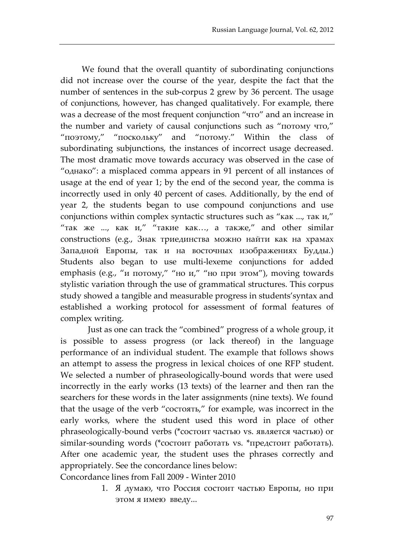We found that the overall quantity of subordinating conjunctions did not increase over the course of the year, despite the fact that the number of sentences in the sub-corpus 2 grew by 36 percent. The usage of conjunctions, however, has changed qualitatively. For example, there was a decrease of the most frequent conjunction "что" and an increase in the number and variety of causal conjunctions such as "потому что," "поэтому," "поскольку" and "потому." Within the class of subordinating subjunctions, the instances of incorrect usage decreased. The most dramatic move towards accuracy was observed in the case of "однако": a misplaced comma appears in 91 percent of all instances of usage at the end of year 1; by the end of the second year, the comma is incorrectly used in only 40 percent of cases. Additionally, by the end of year 2, the students began to use compound conjunctions and use conjunctions within complex syntactic structures such as "как ..., так и," "так же ..., как  $u''$  "такие как..., а также," and other similar constructions (e.g., Знак триединства можно найти как на храмах Западной Европы, так и на восточных изображениях Будды.) Students also began to use multi-lexeme conjunctions for added emphasis (e.g., "и потому," "но и," "но при этом"), moving towards stylistic variation through the use of grammatical structures. This corpus study showed a tangible and measurable progress in students'syntax and established a working protocol for assessment of formal features of complex writing.

Just as one can track the "combined" progress of a whole group, it is possible to assess progress (or lack thereof) in the language performance of an individual student. The example that follows shows an attempt to assess the progress in lexical choices of one RFP student. We selected a number of phraseologically-bound words that were used incorrectly in the early works (13 texts) of the learner and then ran the searchers for these words in the later assignments (nine texts). We found that the usage of the verb "состоять," for example, was incorrect in the early works, where the student used this word in place of other phraseologically-bound verbs (\*состоит частью vs. является частью) or similar-sounding words (\*состоит работать vs. \*предстоит работать). After one academic year, the student uses the phrases correctly and appropriately. See the concordance lines below:

Concordance lines from Fall 2009 - Winter 2010

1. Я думаю, что Россия состоит частью Европы, но при этом я имею введу...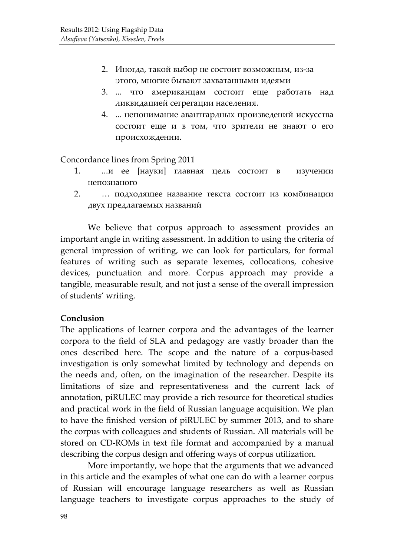- 2. Иногда, такой выбор не состоит возможным, из-за этого, многие бывают захватанными идеями
- 3. ... что американцам состоит еще работать над ликвидацией сегрегации населения.
- 4. ... непонимание авантгардных произведений искусства состоит еще и в том, что зрители не знают о его происхождении.

Concordance lines from Spring 2011

- 1. ...и ее [науки] главная цель состоит в изучении непознаного
- 2. … подходящee название текста состоит из комбинации двух предлагаемых названий

We believe that corpus approach to assessment provides an important angle in writing assessment. In addition to using the criteria of general impression of writing, we can look for particulars, for formal features of writing such as separate lexemes, collocations, cohesive devices, punctuation and more. Corpus approach may provide a tangible, measurable result, and not just a sense of the overall impression of students' writing.

# **Conclusion**

The applications of learner corpora and the advantages of the learner corpora to the field of SLA and pedagogy are vastly broader than the ones described here. The scope and the nature of a corpus-based investigation is only somewhat limited by technology and depends on the needs and, often, on the imagination of the researcher. Despite its limitations of size and representativeness and the current lack of annotation, piRULEC may provide a rich resource for theoretical studies and practical work in the field of Russian language acquisition. We plan to have the finished version of piRULEC by summer 2013, and to share the corpus with colleagues and students of Russian. All materials will be stored on CD-ROMs in text file format and accompanied by a manual describing the corpus design and offering ways of corpus utilization.

More importantly, we hope that the arguments that we advanced in this article and the examples of what one can do with a learner corpus of Russian will encourage language researchers as well as Russian language teachers to investigate corpus approaches to the study of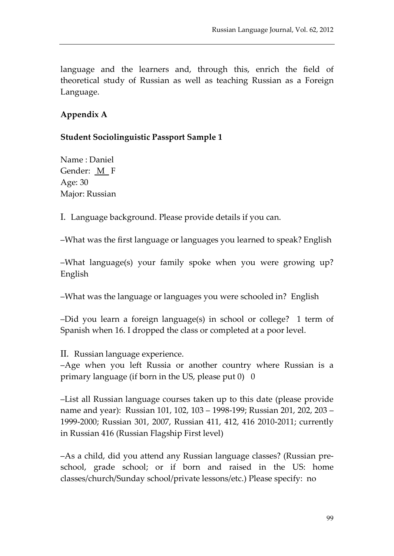language and the learners and, through this, enrich the field of theoretical study of Russian as well as teaching Russian as a Foreign Language.

# **Appendix A**

**Student Sociolinguistic Passport Sample 1**

Name : Daniel Gender: M F Age: 30 Major: Russian

I. Language background. Please provide details if you can.

–What was the first language or languages you learned to speak? English

–What language(s) your family spoke when you were growing up? English

–What was the language or languages you were schooled in? English

–Did you learn a foreign language(s) in school or college? 1 term of Spanish when 16. I dropped the class or completed at a poor level.

II. Russian language experience.

–Age when you left Russia or another country where Russian is a primary language (if born in the US, please put  $0$ ) 0

–List all Russian language courses taken up to this date (please provide name and year): Russian 101, 102, 103 – 1998-199; Russian 201, 202, 203 – 1999-2000; Russian 301, 2007, Russian 411, 412, 416 2010-2011; currently in Russian 416 (Russian Flagship First level)

–As a child, did you attend any Russian language classes? (Russian preschool, grade school; or if born and raised in the US: home classes/church/Sunday school/private lessons/etc.) Please specify: no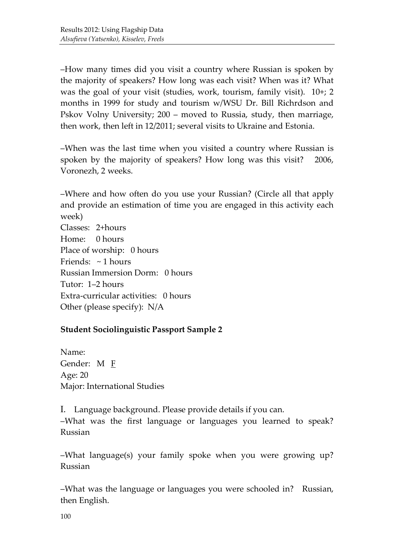–How many times did you visit a country where Russian is spoken by the majority of speakers? How long was each visit? When was it? What was the goal of your visit (studies, work, tourism, family visit). 10+; 2 months in 1999 for study and tourism w/WSU Dr. Bill Richrdson and Pskov Volny University; 200 – moved to Russia, study, then marriage, then work, then left in 12/2011; several visits to Ukraine and Estonia.

–When was the last time when you visited a country where Russian is spoken by the majority of speakers? How long was this visit? 2006, Voronezh, 2 weeks.

–Where and how often do you use your Russian? (Circle all that apply and provide an estimation of time you are engaged in this activity each week)

Classes: 2+hours Home: 0 hours Place of worship: 0 hours Friends:  $\sim$  1 hours Russian Immersion Dorm: 0 hours Tutor: 1–2 hours Extra-curricular activities: 0 hours Other (please specify): N/A

# **Student Sociolinguistic Passport Sample 2**

Name: Gender: M <u>F</u> Age: 20 Major: International Studies

I. Language background. Please provide details if you can. –What was the first language or languages you learned to speak? Russian

–What language(s) your family spoke when you were growing up? Russian

–What was the language or languages you were schooled in? Russian, then English.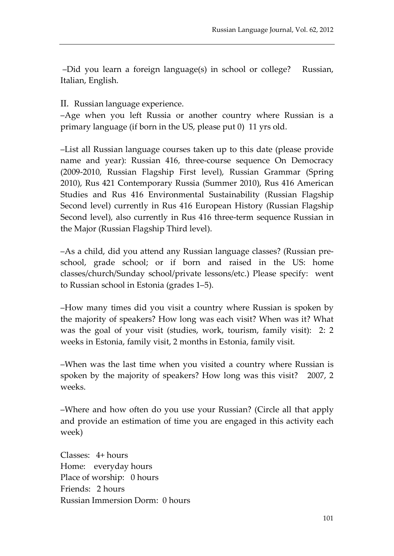–Did you learn a foreign language(s) in school or college? Russian, Italian, English.

II. Russian language experience.

–Age when you left Russia or another country where Russian is a primary language (if born in the US, please put 0) 11 yrs old.

–List all Russian language courses taken up to this date (please provide name and year): Russian 416, three-course sequence On Democracy (2009-2010, Russian Flagship First level), Russian Grammar (Spring 2010), Rus 421 Contemporary Russia (Summer 2010), Rus 416 American Studies and Rus 416 Environmental Sustainability (Russian Flagship Second level) currently in Rus 416 European History (Russian Flagship Second level), also currently in Rus 416 three-term sequence Russian in the Major (Russian Flagship Third level).

–As a child, did you attend any Russian language classes? (Russian preschool, grade school; or if born and raised in the US: home classes/church/Sunday school/private lessons/etc.) Please specify: went to Russian school in Estonia (grades 1–5).

–How many times did you visit a country where Russian is spoken by the majority of speakers? How long was each visit? When was it? What was the goal of your visit (studies, work, tourism, family visit): 2: 2 weeks in Estonia, family visit, 2 months in Estonia, family visit.

–When was the last time when you visited a country where Russian is spoken by the majority of speakers? How long was this visit? 2007, 2 weeks.

–Where and how often do you use your Russian? (Circle all that apply and provide an estimation of time you are engaged in this activity each week)

Classes: 4+ hours Home: everyday hours Place of worship: 0 hours Friends: 2 hours Russian Immersion Dorm: 0 hours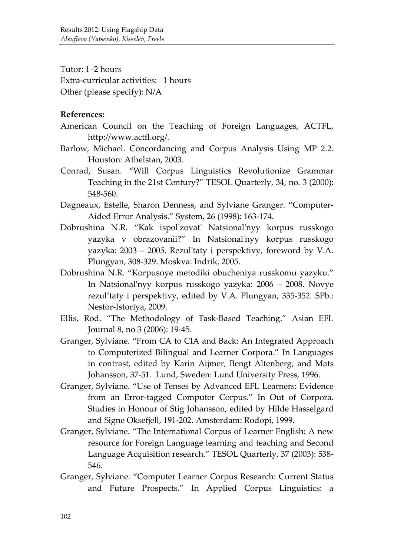Tutor: 1–2 hours Extra-curricular activities: 1 hours Other (please specify): N/A

#### **References:**

- American Council on the Teaching of Foreign Languages, ACTFL, [http://www.actfl.org/.](http://www.actfl.org/)
- Barlow, Michael. Concordancing and Corpus Analysis Using MP 2.2. Houston: Athelstan, 2003.
- Conrad, Susan. "Will Corpus Linguistics Revolutionize Grammar Teaching in the 21st Century?" TESOL Quarterly, 34, no. 3 (2000): 548-560.
- Dagneaux, Estelle, Sharon Denness, and Sylviane Granger. "Computer-Aided Error Analysis." System, 26 (1998): 163-174.
- Dobrushina N.R. "Kak ispol'zovat' Natsional'nyy korpus russkogo yazyka v obrazovanii?" In Natsional'nyy korpus russkogo yazyka: 2003 – 2005. Rezul'taty i perspektivy, foreword by V.A. Plungyan, 308-329. Moskva: Indrik, 2005.
- Dobrushina N.R. "Korpusnye metodiki obucheniya russkomu yazyku." In Natsional'nyy korpus russkogo yazyka: 2006 – 2008. Novye rezul'taty i perspektivy, edited by V.A. Plungyan, 335-352. SPb.: Nestor-Istoriya, 2009.
- Ellis, Rod. "The Methodology of Task-Based Teaching." Asian EFL Journal 8, no 3 (2006): 19-45.
- Granger, Sylviane. "From CA to CIA and Back: An Integrated Approach to Computerized Bilingual and Learner Corpora." In Languages in contrast, edited by Karin Aijmer, Bengt Altenberg, and Mats Johansson, 37-51. Lund, Sweden: Lund University Press, 1996.
- Granger, Sylviane. "Use of Tenses by Advanced EFL Learners: Evidence from an Error-tagged Computer Corpus." In Out of Corpora. Studies in Honour of Stig Johansson, edited by Hilde Hasselgard and Signe Oksefjell, 191-202. Amsterdam: Rodopi, 1999.
- Granger, Sylviane. "The International Corpus of Learner English: A new resource for Foreign Language learning and teaching and Second Language Acquisition research." TESOL Quarterly, 37 (2003): 538- 546.
- Granger, Sylviane. "Computer Learner Corpus Research: Current Status and Future Prospects." In Applied Corpus Linguistics: a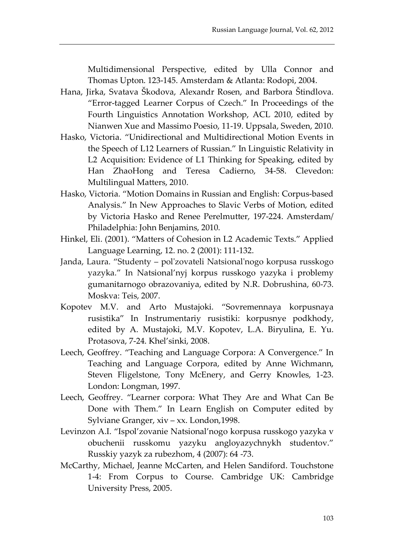Multidimensional Perspective, edited by Ulla Connor and Thomas Upton. 123-145. Amsterdam & Atlanta: Rodopi, 2004.

- Hana, Jirka, Svatava Škodova, Alexandr Rosen, and Barbora Štindlova. "Error-tagged Learner Corpus of Czech." In Proceedings of the Fourth Linguistics Annotation Workshop, ACL 2010, edited by Nianwen Xue and Massimo Poesio, 11-19. Uppsala, Sweden, 2010.
- Hasko, Victoria. "Unidirectional and Multidirectional Motion Events in the Speech of L12 Learners of Russian." In Linguistic Relativity in L2 Acquisition: Evidence of L1 Thinking for Speaking, edited by Han ZhaoHong and Teresa Cadierno, 34-58. Clevedon: Multilingual Matters, 2010.
- Hasko, Victoria. "Motion Domains in Russian and English: Corpus-based Analysis." In New Approaches to Slavic Verbs of Motion, edited by Victoria Hasko and Renee Perelmutter, 197-224. Amsterdam/ Philadelphia: John Benjamins, 2010.
- Hinkel, Eli. (2001). "Matters of Cohesion in L2 Academic Texts." Applied Language Learning, 12. no. 2 (2001): 111-132.
- Janda, Laura. "Studenty pol'zovateli Natsional'nogo korpusa russkogo yazyka." In Natsional'nyj korpus russkogo yazyka i problemy gumanitarnogo obrazovaniya, edited by N.R. Dobrushina, 60-73. Moskva: Teis, 2007.
- Kopotev M.V. and Arto Mustajoki. "Sovremennaya korpusnaya rusistika" In Instrumentariy rusistiki: korpusnye podkhody, edited by A. Mustajoki, M.V. Kopotev, L.A. Biryulina, E. Yu. Protasova, 7-24. Khel'sinki, 2008.
- Leech, Geoffrey. "Teaching and Language Corpora: A Convergence." In Teaching and Language Corpora, edited by Anne Wichmann, Steven Fligelstone, Tony McEnery, and Gerry Knowles, 1-23. London: Longman, 1997.
- Leech, Geoffrey. "Learner corpora: What They Are and What Can Be Done with Them." In Learn English on Computer edited by Sylviane Granger, xiv – xx. London,1998.
- Levinzon A.I. "Ispol'zovanie Natsional'nogo korpusa russkogo yazyka v obuchenii russkomu yazyku angloyazychnykh studentov." Russkiy yazyk za rubezhom, 4 (2007): 64 -73.
- McCarthy, Michael, Jeanne McCarten, and Helen Sandiford. Touchstone 1-4: From Corpus to Course. Cambridge UK: Cambridge University Press, 2005.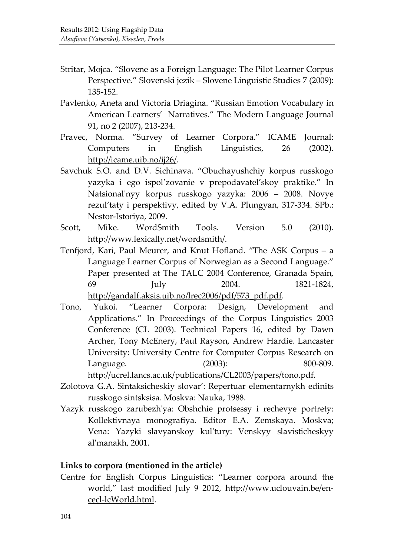- Stritar, Mojca. "Slovene as a Foreign Language: The Pilot Learner Corpus Perspective." Slovenski jezik – Slovene Linguistic Studies 7 (2009): 135-152.
- Pavlenko, Aneta and Victoria Driagina. "Russian Emotion Vocabulary in American Learners' Narratives." The Modern Language Journal 91, no 2 (2007), 213-234.
- Pravec, Norma. "Survey of Learner Corpora." ICAME Journal: Computers in English Linguistics, 26 (2002). [http://icame.uib.no/ij26/.](http://icame.uib.no/ij26/)
- Savchuk S.O. and D.V. Sichinava. "Obuchayushchiy korpus russkogo yazyka i ego ispol'zovanie v prepodavatel'skoy praktike." In Natsional'nyy korpus russkogo yazyka: 2006 – 2008. Novye rezul'taty i perspektivy, edited by V.A. Plungyan, 317-334. SPb.: Nestor-Istoriya, 2009.
- Scott, Mike. WordSmith Tools. Version 5.0 (2010). [http://www.lexically.net/wordsmith/.](http://www.lexically.net/wordsmith/)
- Tenfjord, Kari, Paul Meurer, and Knut Hofland. "The ASK Corpus a Language Learner Corpus of Norwegian as a Second Language." Paper presented at The TALC 2004 Conference, Granada Spain, 69 July 2004. 1821-1824, [http://gandalf.aksis.uib.no/lrec2006/pdf/573\\_pdf.pdf.](http://gandalf.aksis.uib.no/lrec2006/pdf/573_pdf.pdf)
- Tono, Yukoi. "Learner Corpora: Design, Development and Applications." In Proceedings of the Corpus Linguistics 2003 Conference (CL 2003). Technical Papers 16, edited by Dawn Archer, Tony McEnery, Paul Rayson, Andrew Hardie. Lancaster University: University Centre for Computer Corpus Research on Language. (2003): 800-809. [http://ucrel.lancs.ac.uk/publications/CL2003/papers/tono.pdf.](http://ucrel.lancs.ac.uk/publications/CL2003/papers/tono.pdf)
- Zolotova G.A. Sintaksicheskiy slovar': Repertuar elementarnykh edinits russkogo sintsksisa. Moskva: Nauka, 1988.
- Yazyk russkogo zarubezh'ya: Obshchie protsessy i rechevye portrety: Kollektivnaya monografiya. Editor E.A. Zemskaya. Moskva; Vena: Yazyki slavyanskoy kul'tury: Venskyy slavisticheskyy al'manakh, 2001.

#### **Links to corpora (mentioned in the article)**

Centre for English Corpus Linguistics: "Learner corpora around the world," last modified July 9 2012, [http://www.uclouvain.be/en](http://www.uclouvain.be/en-cecl-lcWorld.html)[cecl-lcWorld.html.](http://www.uclouvain.be/en-cecl-lcWorld.html)